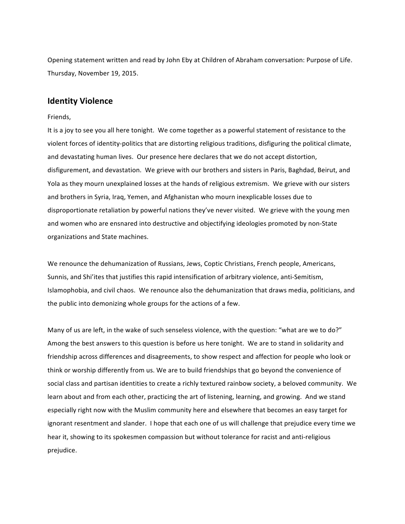Opening statement written and read by John Eby at Children of Abraham conversation: Purpose of Life. Thursday, November 19, 2015.

## **Identity Violence**

## Friends,

It is a joy to see you all here tonight. We come together as a powerful statement of resistance to the violent forces of identity-politics that are distorting religious traditions, disfiguring the political climate, and devastating human lives. Our presence here declares that we do not accept distortion, disfigurement, and devastation. We grieve with our brothers and sisters in Paris, Baghdad, Beirut, and Yola as they mourn unexplained losses at the hands of religious extremism. We grieve with our sisters and brothers in Syria, Iraq, Yemen, and Afghanistan who mourn inexplicable losses due to disproportionate retaliation by powerful nations they've never visited. We grieve with the young men and women who are ensnared into destructive and objectifying ideologies promoted by non-State organizations and State machines.

We renounce the dehumanization of Russians, Jews, Coptic Christians, French people, Americans, Sunnis, and Shi'ites that justifies this rapid intensification of arbitrary violence, anti-Semitism, Islamophobia, and civil chaos. We renounce also the dehumanization that draws media, politicians, and the public into demonizing whole groups for the actions of a few.

Many of us are left, in the wake of such senseless violence, with the question: "what are we to do?" Among the best answers to this question is before us here tonight. We are to stand in solidarity and friendship across differences and disagreements, to show respect and affection for people who look or think or worship differently from us. We are to build friendships that go beyond the convenience of social class and partisan identities to create a richly textured rainbow society, a beloved community. We learn about and from each other, practicing the art of listening, learning, and growing. And we stand especially right now with the Muslim community here and elsewhere that becomes an easy target for ignorant resentment and slander. I hope that each one of us will challenge that prejudice every time we hear it, showing to its spokesmen compassion but without tolerance for racist and anti-religious prejudice.